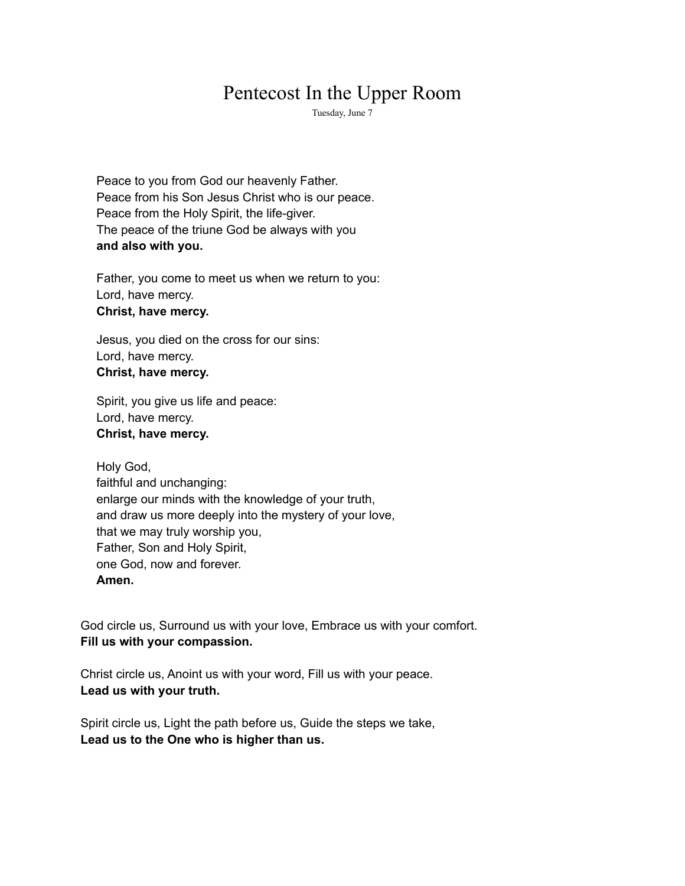# Pentecost In the Upper Room

Tuesday, June 7

Peace to you from God our heavenly Father. Peace from his Son Jesus Christ who is our peace. Peace from the Holy Spirit, the life-giver. The peace of the triune God be always with you **and also with you.**

Father, you come to meet us when we return to you: Lord, have mercy. **Christ, have mercy.**

Jesus, you died on the cross for our sins: Lord, have mercy. **Christ, have mercy.**

Spirit, you give us life and peace: Lord, have mercy. **Christ, have mercy.**

Holy God, faithful and unchanging: enlarge our minds with the knowledge of your truth, and draw us more deeply into the mystery of your love, that we may truly worship you, Father, Son and Holy Spirit, one God, now and forever. **Amen.**

God circle us, Surround us with your love, Embrace us with your comfort. **Fill us with your compassion.**

Christ circle us, Anoint us with your word, Fill us with your peace. **Lead us with your truth.**

Spirit circle us, Light the path before us, Guide the steps we take, **Lead us to the One who is higher than us.**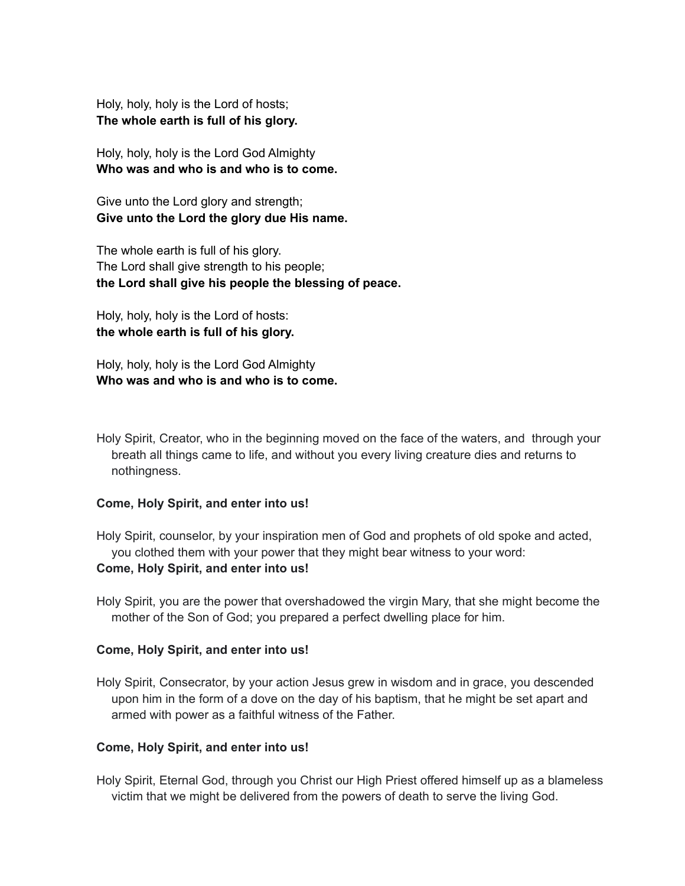Holy, holy, holy is the Lord of hosts; **The whole earth is full of his glory.**

Holy, holy, holy is the Lord God Almighty **Who was and who is and who is to come.**

Give unto the Lord glory and strength; **Give unto the Lord the glory due His name.**

The whole earth is full of his glory. The Lord shall give strength to his people; **the Lord shall give his people the blessing of peace.**

Holy, holy, holy is the Lord of hosts: **the whole earth is full of his glory.**

Holy, holy, holy is the Lord God Almighty **Who was and who is and who is to come.**

Holy Spirit, Creator, who in the beginning moved on the face of the waters, and through your breath all things came to life, and without you every living creature dies and returns to nothingness.

#### **Come, Holy Spirit, and enter into us!**

Holy Spirit, counselor, by your inspiration men of God and prophets of old spoke and acted, you clothed them with your power that they might bear witness to your word:

# **Come, Holy Spirit, and enter into us!**

Holy Spirit, you are the power that overshadowed the virgin Mary, that she might become the mother of the Son of God; you prepared a perfect dwelling place for him.

#### **Come, Holy Spirit, and enter into us!**

Holy Spirit, Consecrator, by your action Jesus grew in wisdom and in grace, you descended upon him in the form of a dove on the day of his baptism, that he might be set apart and armed with power as a faithful witness of the Father.

# **Come, Holy Spirit, and enter into us!**

Holy Spirit, Eternal God, through you Christ our High Priest offered himself up as a blameless victim that we might be delivered from the powers of death to serve the living God.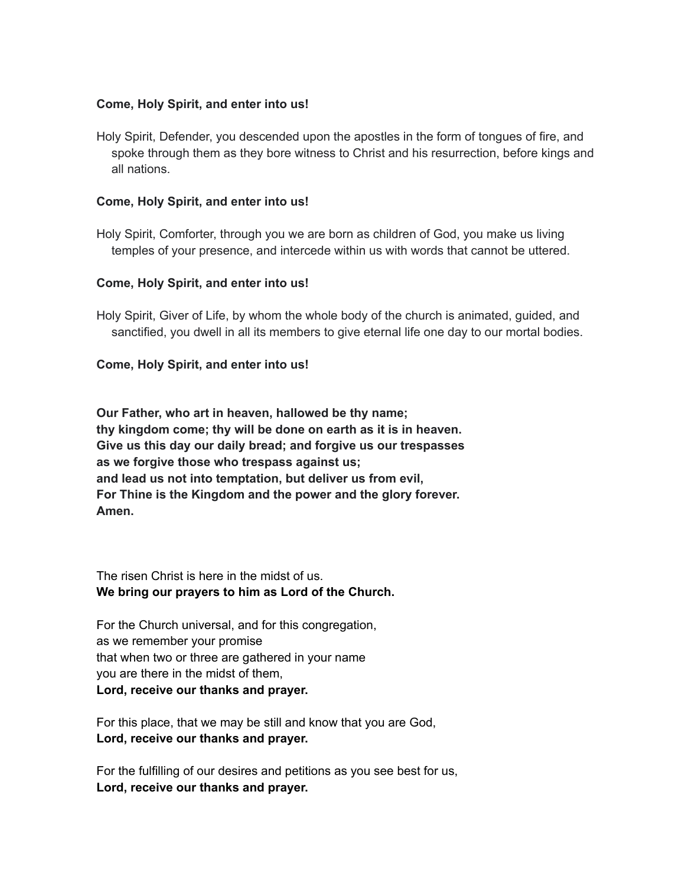### **Come, Holy Spirit, and enter into us!**

Holy Spirit, Defender, you descended upon the apostles in the form of tongues of fire, and spoke through them as they bore witness to Christ and his resurrection, before kings and all nations.

#### **Come, Holy Spirit, and enter into us!**

Holy Spirit, Comforter, through you we are born as children of God, you make us living temples of your presence, and intercede within us with words that cannot be uttered.

#### **Come, Holy Spirit, and enter into us!**

Holy Spirit, Giver of Life, by whom the whole body of the church is animated, guided, and sanctified, you dwell in all its members to give eternal life one day to our mortal bodies.

#### **Come, Holy Spirit, and enter into us!**

**Our Father, who art in heaven, hallowed be thy name; thy kingdom come; thy will be done on earth as it is in heaven. Give us this day our daily bread; and forgive us our trespasses as we forgive those who trespass against us; and lead us not into temptation, but deliver us from evil, For Thine is the Kingdom and the power and the glory forever. Amen.**

The risen Christ is here in the midst of us. **We bring our prayers to him as Lord of the Church.**

For the Church universal, and for this congregation, as we remember your promise that when two or three are gathered in your name you are there in the midst of them, **Lord, receive our thanks and prayer.**

For this place, that we may be still and know that you are God, **Lord, receive our thanks and prayer.**

For the fulfilling of our desires and petitions as you see best for us, **Lord, receive our thanks and prayer.**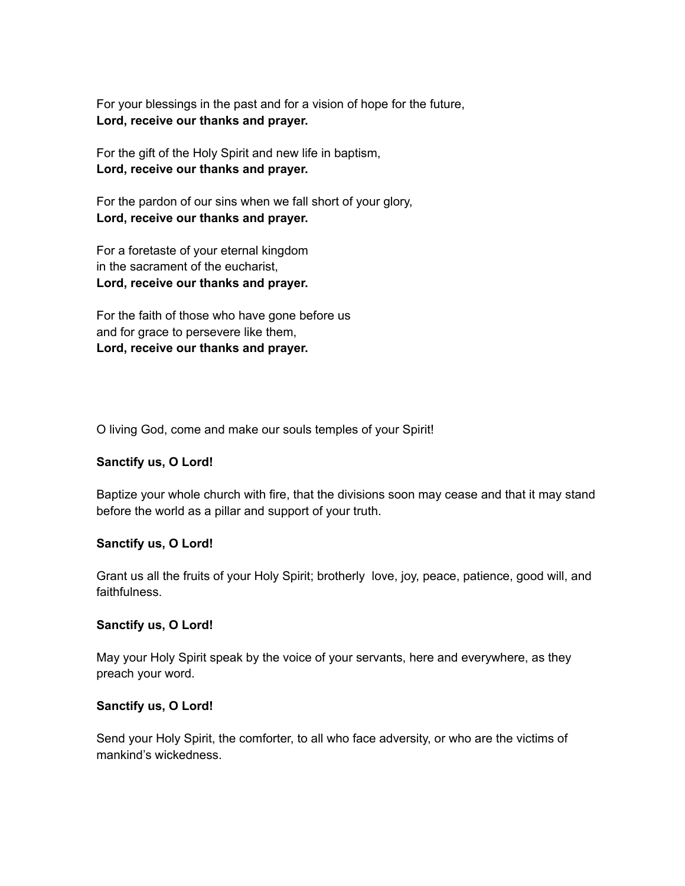For your blessings in the past and for a vision of hope for the future, **Lord, receive our thanks and prayer.**

For the gift of the Holy Spirit and new life in baptism, **Lord, receive our thanks and prayer.**

For the pardon of our sins when we fall short of your glory, **Lord, receive our thanks and prayer.**

For a foretaste of your eternal kingdom in the sacrament of the eucharist, **Lord, receive our thanks and prayer.**

For the faith of those who have gone before us and for grace to persevere like them, **Lord, receive our thanks and prayer.**

O living God, come and make our souls temples of your Spirit!

# **Sanctify us, O Lord!**

Baptize your whole church with fire, that the divisions soon may cease and that it may stand before the world as a pillar and support of your truth.

# **Sanctify us, O Lord!**

Grant us all the fruits of your Holy Spirit; brotherly love, joy, peace, patience, good will, and faithfulness.

# **Sanctify us, O Lord!**

May your Holy Spirit speak by the voice of your servants, here and everywhere, as they preach your word.

# **Sanctify us, O Lord!**

Send your Holy Spirit, the comforter, to all who face adversity, or who are the victims of mankind's wickedness.